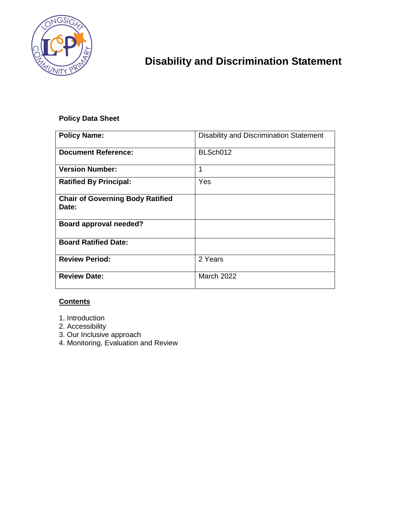

# **Disability and Discrimination Statement**

### **Policy Data Sheet**

| <b>Policy Name:</b>                              | Disability and Discrimination Statement |
|--------------------------------------------------|-----------------------------------------|
| <b>Document Reference:</b>                       | BLSch012                                |
| <b>Version Number:</b>                           | 1                                       |
| <b>Ratified By Principal:</b>                    | Yes                                     |
| <b>Chair of Governing Body Ratified</b><br>Date: |                                         |
| <b>Board approval needed?</b>                    |                                         |
| <b>Board Ratified Date:</b>                      |                                         |
| <b>Review Period:</b>                            | 2 Years                                 |
| <b>Review Date:</b>                              | <b>March 2022</b>                       |

#### **Contents**

- 1. Introduction
- 2. Accessibility
- 3. Our Inclusive approach
- 4. Monitoring, Evaluation and Review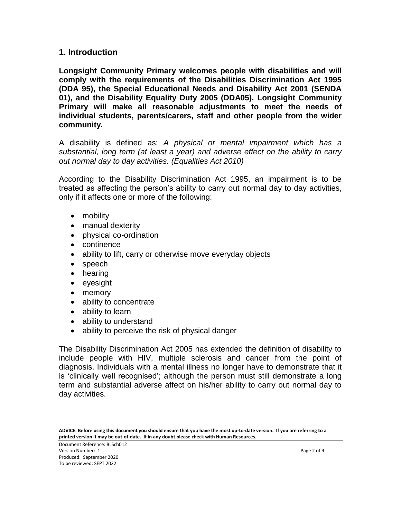#### **1. Introduction**

**Longsight Community Primary welcomes people with disabilities and will comply with the requirements of the Disabilities Discrimination Act 1995 (DDA 95), the Special Educational Needs and Disability Act 2001 (SENDA 01), and the Disability Equality Duty 2005 (DDA05). Longsight Community Primary will make all reasonable adjustments to meet the needs of individual students, parents/carers, staff and other people from the wider community.**

A disability is defined as: *A physical or mental impairment which has a substantial, long term (at least a year) and adverse effect on the ability to carry out normal day to day activities. (Equalities Act 2010)*

According to the Disability Discrimination Act 1995, an impairment is to be treated as affecting the person's ability to carry out normal day to day activities, only if it affects one or more of the following:

- mobility
- manual dexterity
- physical co-ordination
- continence
- ability to lift, carry or otherwise move everyday objects
- speech
- hearing
- eyesight
- memory
- ability to concentrate
- ability to learn
- ability to understand
- ability to perceive the risk of physical danger

The Disability Discrimination Act 2005 has extended the definition of disability to include people with HIV, multiple sclerosis and cancer from the point of diagnosis. Individuals with a mental illness no longer have to demonstrate that it is 'clinically well recognised'; although the person must still demonstrate a long term and substantial adverse affect on his/her ability to carry out normal day to day activities.

**ADVICE: Before using this document you should ensure that you have the most up-to-date version. If you are referring to a printed version it may be out-of-date. If in any doubt please check with Human Resources.**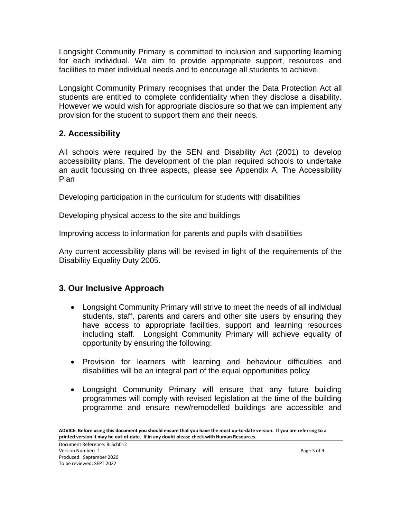Longsight Community Primary is committed to inclusion and supporting learning for each individual. We aim to provide appropriate support, resources and facilities to meet individual needs and to encourage all students to achieve.

Longsight Community Primary recognises that under the Data Protection Act all students are entitled to complete confidentiality when they disclose a disability. However we would wish for appropriate disclosure so that we can implement any provision for the student to support them and their needs.

## **2. Accessibility**

All schools were required by the SEN and Disability Act (2001) to develop accessibility plans. The development of the plan required schools to undertake an audit focussing on three aspects, please see Appendix A, The Accessibility Plan

Developing participation in the curriculum for students with disabilities

Developing physical access to the site and buildings

Improving access to information for parents and pupils with disabilities

Any current accessibility plans will be revised in light of the requirements of the Disability Equality Duty 2005.

## **3. Our Inclusive Approach**

- Longsight Community Primary will strive to meet the needs of all individual students, staff, parents and carers and other site users by ensuring they have access to appropriate facilities, support and learning resources including staff. Longsight Community Primary will achieve equality of opportunity by ensuring the following:
- Provision for learners with learning and behaviour difficulties and disabilities will be an integral part of the equal opportunities policy
- Longsight Community Primary will ensure that any future building programmes will comply with revised legislation at the time of the building programme and ensure new/remodelled buildings are accessible and

**ADVICE: Before using this document you should ensure that you have the most up-to-date version. If you are referring to a printed version it may be out-of-date. If in any doubt please check with Human Resources.**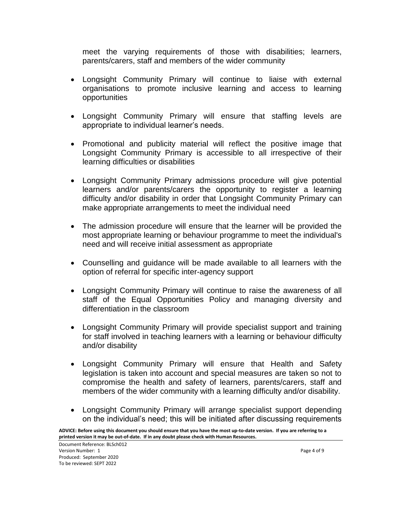meet the varying requirements of those with disabilities; learners, parents/carers, staff and members of the wider community

- Longsight Community Primary will continue to liaise with external organisations to promote inclusive learning and access to learning opportunities
- Longsight Community Primary will ensure that staffing levels are appropriate to individual learner's needs.
- Promotional and publicity material will reflect the positive image that Longsight Community Primary is accessible to all irrespective of their learning difficulties or disabilities
- Longsight Community Primary admissions procedure will give potential learners and/or parents/carers the opportunity to register a learning difficulty and/or disability in order that Longsight Community Primary can make appropriate arrangements to meet the individual need
- The admission procedure will ensure that the learner will be provided the most appropriate learning or behaviour programme to meet the individual's need and will receive initial assessment as appropriate
- Counselling and guidance will be made available to all learners with the option of referral for specific inter-agency support
- Longsight Community Primary will continue to raise the awareness of all staff of the Equal Opportunities Policy and managing diversity and differentiation in the classroom
- Longsight Community Primary will provide specialist support and training for staff involved in teaching learners with a learning or behaviour difficulty and/or disability
- Longsight Community Primary will ensure that Health and Safety legislation is taken into account and special measures are taken so not to compromise the health and safety of learners, parents/carers, staff and members of the wider community with a learning difficulty and/or disability.
- Longsight Community Primary will arrange specialist support depending on the individual's need; this will be initiated after discussing requirements

**ADVICE: Before using this document you should ensure that you have the most up-to-date version. If you are referring to a printed version it may be out-of-date. If in any doubt please check with Human Resources.**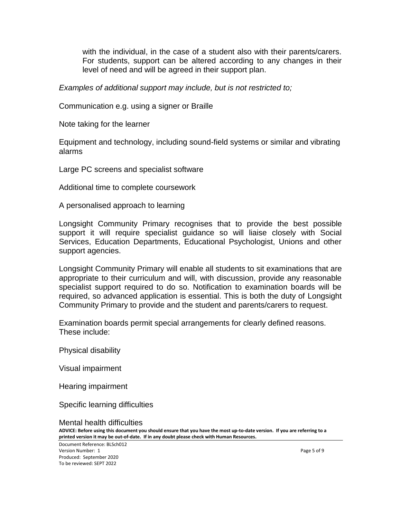with the individual, in the case of a student also with their parents/carers. For students, support can be altered according to any changes in their level of need and will be agreed in their support plan.

*Examples of additional support may include, but is not restricted to;*

Communication e.g. using a signer or Braille

Note taking for the learner

Equipment and technology, including sound-field systems or similar and vibrating alarms

Large PC screens and specialist software

Additional time to complete coursework

A personalised approach to learning

Longsight Community Primary recognises that to provide the best possible support it will require specialist guidance so will liaise closely with Social Services, Education Departments, Educational Psychologist, Unions and other support agencies.

Longsight Community Primary will enable all students to sit examinations that are appropriate to their curriculum and will, with discussion, provide any reasonable specialist support required to do so. Notification to examination boards will be required, so advanced application is essential. This is both the duty of Longsight Community Primary to provide and the student and parents/carers to request.

Examination boards permit special arrangements for clearly defined reasons. These include:

Physical disability

Visual impairment

Hearing impairment

Specific learning difficulties

**ADVICE: Before using this document you should ensure that you have the most up-to-date version. If you are referring to a printed version it may be out-of-date. If in any doubt please check with Human Resources.** Mental health difficulties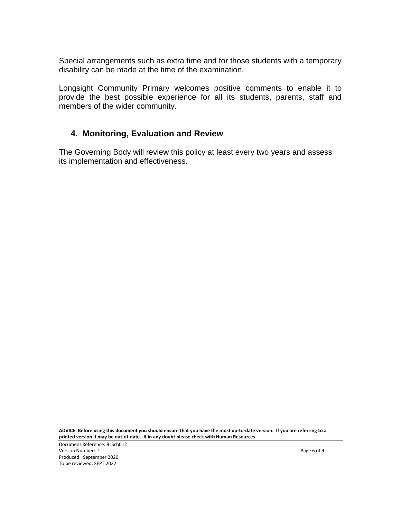Special arrangements such as extra time and for those students with a temporary disability can be made at the time of the examination.

Longsight Community Primary welcomes positive comments to enable it to provide the best possible experience for all its students, parents, staff and members of the wider community.

#### **4. Monitoring, Evaluation and Review**

The Governing Body will review this policy at least every two years and assess its implementation and effectiveness.

**ADVICE: Before using this document you should ensure that you have the most up-to-date version. If you are referring to a printed version it may be out-of-date. If in any doubt please check with Human Resources.**

Document Reference: BLSch012 Version Number: 1 Page 6 of 9 Produced: September 2020 To be reviewed: SEPT 2022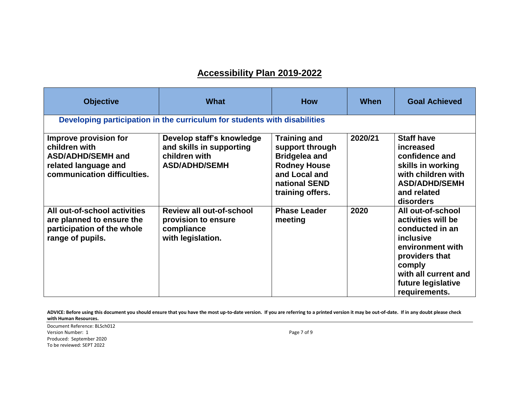## **Accessibility Plan 2019-2022**

| <b>Objective</b>                                                                                                          | What                                                                                           | <b>How</b>                                                                                                                                  | <b>When</b> | <b>Goal Achieved</b>                                                                                                                                                                   |  |  |
|---------------------------------------------------------------------------------------------------------------------------|------------------------------------------------------------------------------------------------|---------------------------------------------------------------------------------------------------------------------------------------------|-------------|----------------------------------------------------------------------------------------------------------------------------------------------------------------------------------------|--|--|
| Developing participation in the curriculum for students with disabilities                                                 |                                                                                                |                                                                                                                                             |             |                                                                                                                                                                                        |  |  |
| Improve provision for<br>children with<br><b>ASD/ADHD/SEMH and</b><br>related language and<br>communication difficulties. | Develop staff's knowledge<br>and skills in supporting<br>children with<br><b>ASD/ADHD/SEMH</b> | <b>Training and</b><br>support through<br><b>Bridgelea and</b><br><b>Rodney House</b><br>and Local and<br>national SEND<br>training offers. | 2020/21     | <b>Staff have</b><br>increased<br>confidence and<br>skills in working<br>with children with<br><b>ASD/ADHD/SEMH</b><br>and related<br>disorders                                        |  |  |
| All out-of-school activities<br>are planned to ensure the<br>participation of the whole<br>range of pupils.               | Review all out-of-school<br>provision to ensure<br>compliance<br>with legislation.             | <b>Phase Leader</b><br>meeting                                                                                                              | 2020        | All out-of-school<br>activities will be<br>conducted in an<br>inclusive<br>environment with<br>providers that<br>comply<br>with all current and<br>future legislative<br>requirements. |  |  |

ADVICE: Before using this document you should ensure that you have the most up-to-date version. If you are referring to a printed version it may be out-of-date. If in any doubt please check **with Human Resources.**

Document Reference: BLSch012 Version Number: 1 Page 7 of 9 Produced: September 2020 To be reviewed: SEPT 2022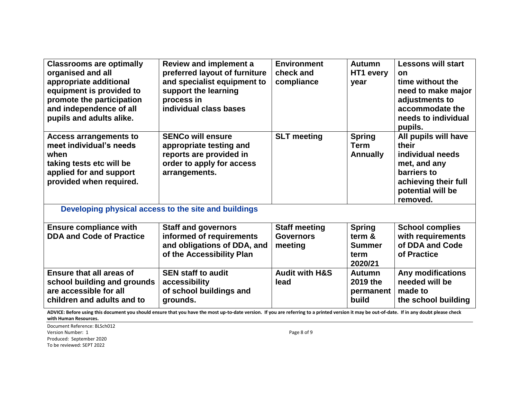| <b>Classrooms are optimally</b><br>organised and all<br>appropriate additional<br>equipment is provided to<br>promote the participation<br>and independence of all<br>pupils and adults alike. | <b>Review and implement a</b><br>preferred layout of furniture<br>and specialist equipment to<br>support the learning<br>process in<br>individual class bases | <b>Environment</b><br>check and<br>compliance       | <b>Autumn</b><br>HT1 every<br>year                          | <b>Lessons will start</b><br><b>on</b><br>time without the<br>need to make major<br>adjustments to<br>accommodate the<br>needs to individual<br>pupils. |  |
|------------------------------------------------------------------------------------------------------------------------------------------------------------------------------------------------|---------------------------------------------------------------------------------------------------------------------------------------------------------------|-----------------------------------------------------|-------------------------------------------------------------|---------------------------------------------------------------------------------------------------------------------------------------------------------|--|
| <b>Access arrangements to</b><br>meet individual's needs<br>when<br>taking tests etc will be<br>applied for and support<br>provided when required.                                             | <b>SENCo will ensure</b><br>appropriate testing and<br>reports are provided in<br>order to apply for access<br>arrangements.                                  | <b>SLT</b> meeting                                  | <b>Spring</b><br><b>Term</b><br><b>Annually</b>             | All pupils will have<br>their<br>individual needs<br>met, and any<br>barriers to<br>achieving their full<br>potential will be<br>removed.               |  |
| Developing physical access to the site and buildings                                                                                                                                           |                                                                                                                                                               |                                                     |                                                             |                                                                                                                                                         |  |
| <b>Ensure compliance with</b><br><b>DDA and Code of Practice</b>                                                                                                                               | <b>Staff and governors</b><br>informed of requirements<br>and obligations of DDA, and<br>of the Accessibility Plan                                            | <b>Staff meeting</b><br><b>Governors</b><br>meeting | <b>Spring</b><br>term &<br><b>Summer</b><br>term<br>2020/21 | <b>School complies</b><br>with requirements<br>of DDA and Code<br>of Practice                                                                           |  |
| <b>Ensure that all areas of</b><br>school building and grounds<br>are accessible for all<br>children and adults and to                                                                         | <b>SEN staff to audit</b><br>accessibility<br>of school buildings and<br>grounds.                                                                             | <b>Audit with H&amp;S</b><br>lead                   | <b>Autumn</b><br>2019 the<br>permanent<br>build             | <b>Any modifications</b><br>needed will be<br>made to<br>the school building                                                                            |  |

ADVICE: Before using this document you should ensure that you have the most up-to-date version. If you are referring to a printed version it may be out-of-date. If in any doubt please check **with Human Resources.**

Document Reference: BLSch012 Version Number: 1 Page 8 of 9 Produced: September 2020 To be reviewed: SEPT 2022